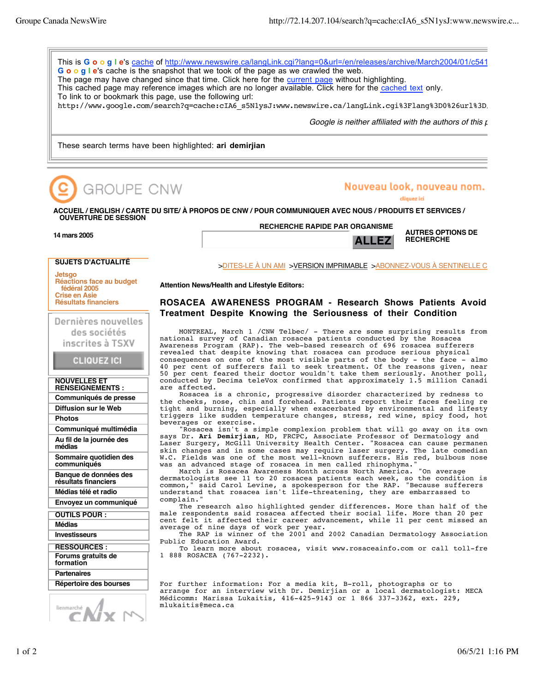